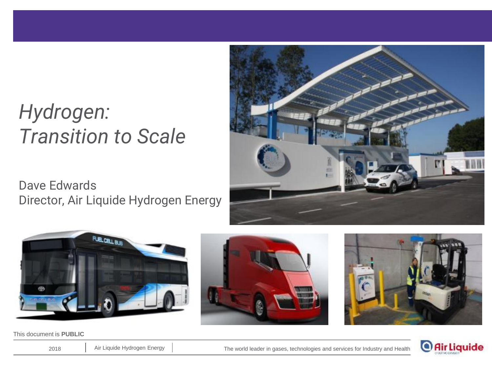# *Hydrogen: Transition to Scale*

Dave Edwards Director, Air Liquide Hydrogen Energy





This document is **PUBLIC**





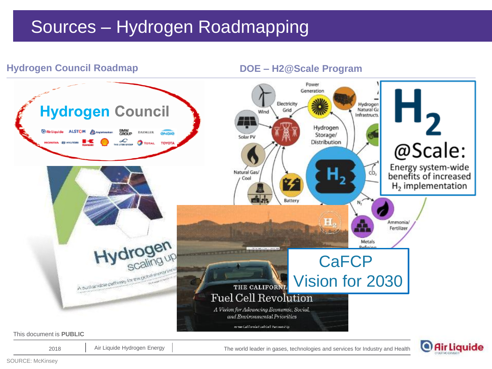## Sources – Hydrogen Roadmapping



2018 Air Liquide Hydrogen Energy | The world leader in gases, technologies and services for Industry and Health

O Air Liquide

SOURCE: McKinsey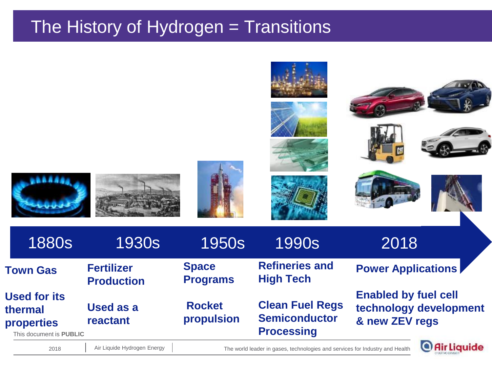## The History of Hydrogen = Transitions



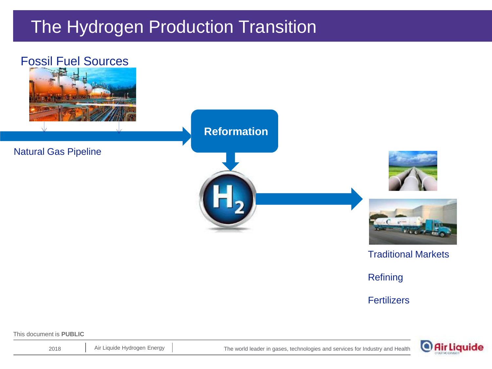## The Hydrogen Production Transition



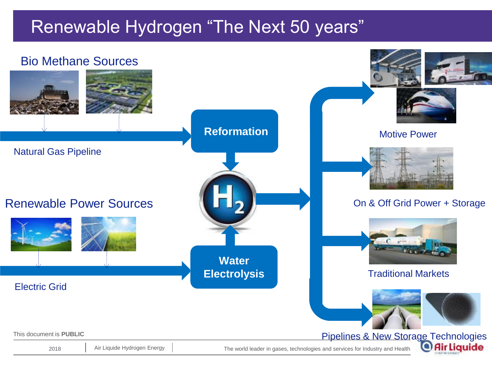## Renewable Hydrogen "The Next 50 years"

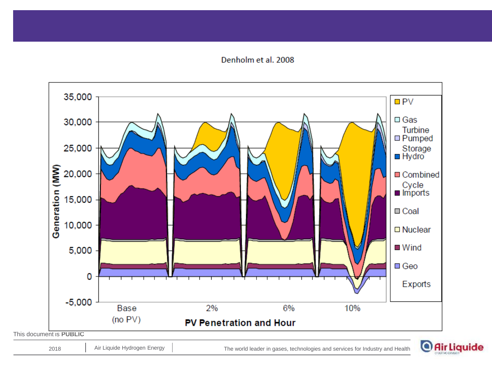#### Denholm et al. 2008



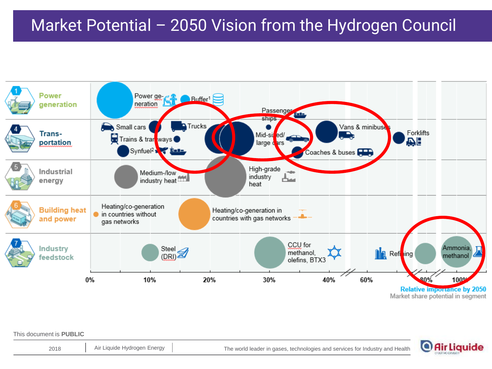## Market Potential – 2050 Vision from the Hydrogen Council



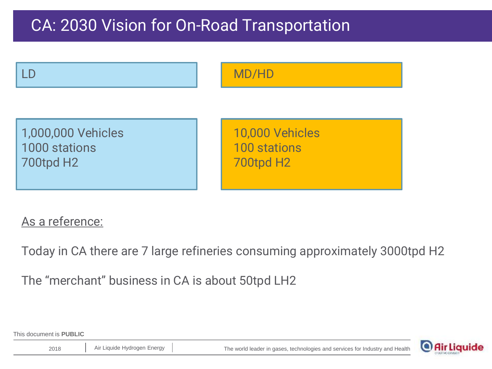## CA: 2030 Vision for On-Road Transportation



#### As a reference:

Today in CA there are 7 large refineries consuming approximately 3000tpd H2

The "merchant" business in CA is about 50tpd LH2

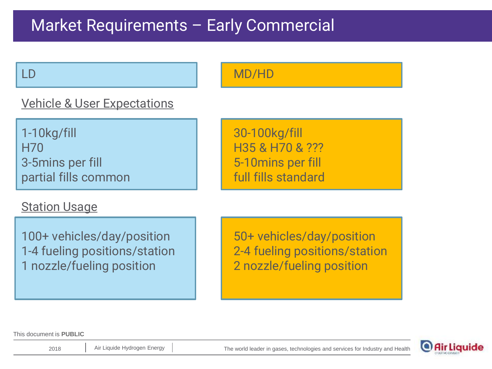## Market Requirements – Early Commercial

#### LD MD/HD

### Vehicle & User Expectations

1-10kg/fill 30-100kg/fill H70 H35 & H70 & ??? 3-5mins per fill **1996** and 1997 **1** 5-10 mins per fill partial fills common full full fills standard

### Station Usage

100+ vehicles/day/position 1 50+ vehicles/day/position 1-4 fueling positions/station 2-4 fueling positions/station 1 nozzle/fueling position 2 nozzle/fueling position

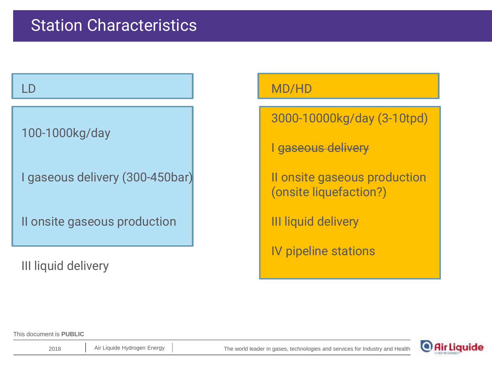#### LD

100-1000kg/day

I gaseous delivery (300-450bar)

II onsite gaseous production

III liquid delivery

#### MD/HD

3000-10000kg/day (3-10tpd)

I gaseous delivery

II onsite gaseous production (onsite liquefaction?)

III liquid delivery

IV pipeline stations

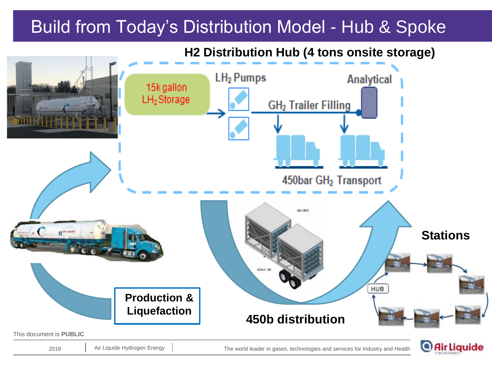## Build from Today's Distribution Model - Hub & Spoke

**H2 Distribution Hub (4 tons onsite storage)**

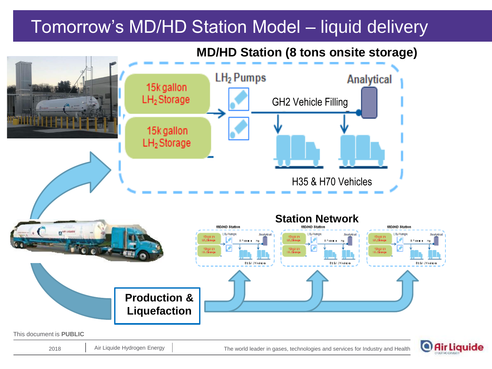## Tomorrow's MD/HD Station Model – liquid delivery

#### **MD/HD Station (8 tons onsite storage)**



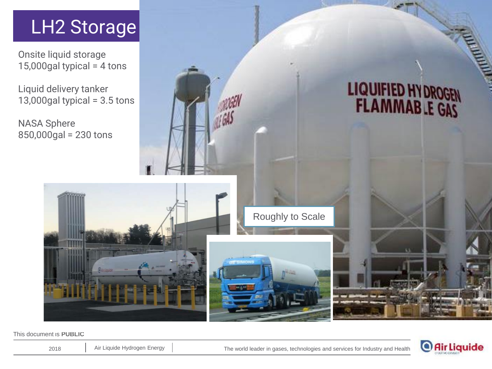# LH<sub>2</sub> Storage

Onsite liquid storage 15,000gal typical =  $4$  tons

Liquid delivery tanker 13,000gal typical =  $3.5$  tons

NASA Sphere 850,000gal = 230 tons



Roughly to Scale

This document is **PUBLIC**



LIQUIFIED HY DROGEN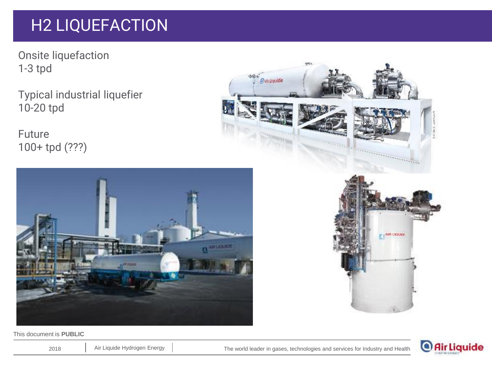## H2 LIQUEFACTION

Onsite liquefaction 1-3 tpd

Typical industrial liquefier 10-20 tpd

Future 100+ tpd (???)



 $\mathbf{b}$ 



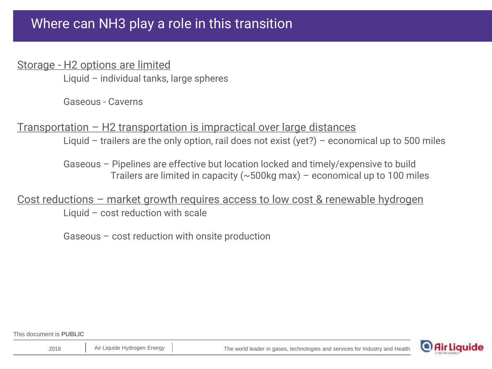### Where can NH3 play a role in this transition

#### Storage - H2 options are limited

Liquid – individual tanks, large spheres

Gaseous - Caverns

#### Transportation – H2 transportation is impractical over large distances

Liquid – trailers are the only option, rail does not exist (yet?) – economical up to 500 miles

Gaseous – Pipelines are effective but location locked and timely/expensive to build Trailers are limited in capacity ( $\sim$  500kg max) – economical up to 100 miles

## Cost reductions – market growth requires access to low cost & renewable hydrogen

Liquid – cost reduction with scale

Gaseous – cost reduction with onsite production